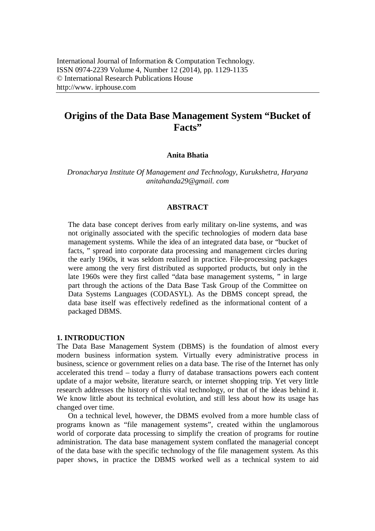# **Origins of the Data Base Management System "Bucket of Facts"**

## **Anita Bhatia**

*Dronacharya Institute Of Management and Technology, Kurukshetra, Haryana anitahanda29@gmail. com*

#### **ABSTRACT**

The data base concept derives from early military on-line systems, and was not originally associated with the specific technologies of modern data base management systems. While the idea of an integrated data base, or "bucket of facts, " spread into corporate data processing and management circles during the early 1960s, it was seldom realized in practice. File-processing packages were among the very first distributed as supported products, but only in the late 1960s were they first called "data base management systems, " in large part through the actions of the Data Base Task Group of the Committee on Data Systems Languages (CODASYL). As the DBMS concept spread, the data base itself was effectively redefined as the informational content of a packaged DBMS.

#### **1. INTRODUCTION**

The Data Base Management System (DBMS) is the foundation of almost every modern business information system. Virtually every administrative process in business, science or government relies on a data base. The rise of the Internet has only accelerated this trend – today a flurry of database transactions powers each content update of a major website, literature search, or internet shopping trip. Yet very little research addresses the history of this vital technology, or that of the ideas behind it. We know little about its technical evolution, and still less about how its usage has changed over time.

On a technical level, however, the DBMS evolved from a more humble class of programs known as "file management systems", created within the unglamorous world of corporate data processing to simplify the creation of programs for routine administration. The data base management system conflated the managerial concept of the data base with the specific technology of the file management system. As this paper shows, in practice the DBMS worked well as a technical system to aid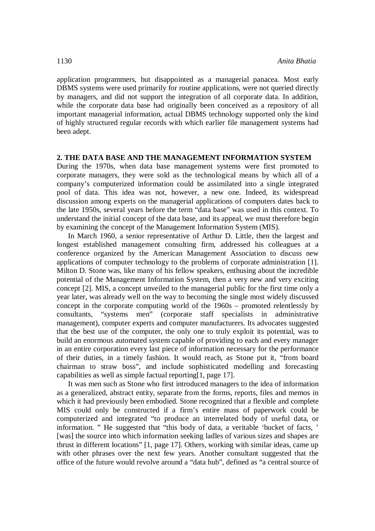application programmers, but disappointed as a managerial panacea. Most early DBMS systems were used primarily for routine applications, were not queried directly by managers, and did not support the integration of all corporate data. In addition, while the corporate data base had originally been conceived as a repository of all important managerial information, actual DBMS technology supported only the kind of highly structured regular records with which earlier file management systems had been adept.

## **2. THE DATA BASE AND THE MANAGEMENT INFORMATION SYSTEM**

During the 1970s, when data base management systems were first promoted to corporate managers, they were sold as the technological means by which all of a company's computerized information could be assimilated into a single integrated pool of data. This idea was not, however, a new one. Indeed, its widespread discussion among experts on the managerial applications of computers dates back to the late 1950s, several years before the term "data base" was used in this context. To understand the initial concept of the data base, and its appeal, we must therefore begin by examining the concept of the Management Information System (MIS).

In March 1960, a senior representative of Arthur D. Little, then the largest and longest established management consulting firm, addressed his colleagues at a conference organized by the American Management Association to discuss new applications of computer technology to the problems of corporate administration [1]. Milton D. Stone was, like many of his fellow speakers, enthusing about the incredible potential of the Management Information System, then a very new and very exciting concept [2]. MIS, a concept unveiled to the managerial public for the first time only a year later, was already well on the way to becoming the single most widely discussed concept in the corporate computing world of the 1960s – promoted relentlessly by consultants, "systems men" (corporate staff specialists in administrative management), computer experts and computer manufacturers. Its advocates suggested that the best use of the computer, the only one to truly exploit its potential, was to build an enormous automated system capable of providing to each and every manager in an entire corporation every last piece of information necessary for the performance of their duties, in a timely fashion. It would reach, as Stone put it, "from board chairman to straw boss", and include sophisticated modelling and forecasting capabilities as well as simple factual reporting[1, page 17].

It was men such as Stone who first introduced managers to the idea of information as a generalized, abstract entity, separate from the forms, reports, files and memos in which it had previously been embodied. Stone recognized that a flexible and complete MIS could only be constructed if a firm's entire mass of paperwork could be computerized and integrated "to produce an interrelated body of useful data, or information. " He suggested that "this body of data, a veritable 'bucket of facts, ' [was] the source into which information seeking ladles of various sizes and shapes are thrust in different locations" [1, page 17]. Others, working with similar ideas, came up with other phrases over the next few years. Another consultant suggested that the office of the future would revolve around a "data hub", defined as "a central source of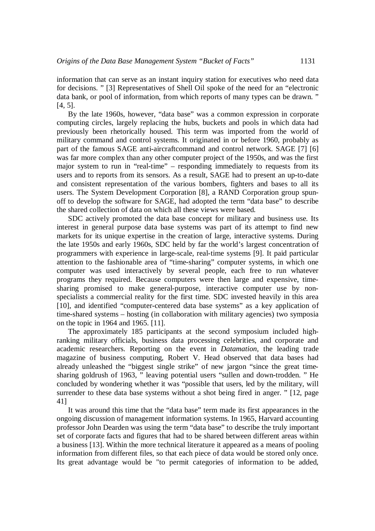information that can serve as an instant inquiry station for executives who need data for decisions. " [3] Representatives of Shell Oil spoke of the need for an "electronic data bank, or pool of information, from which reports of many types can be drawn. " [4, 5].

By the late 1960s, however, "data base" was a common expression in corporate computing circles, largely replacing the hubs, buckets and pools in which data had previously been rhetorically housed. This term was imported from the world of military command and control systems. It originated in or before 1960, probably as part of the famous SAGE anti-aircraftcommand and control network. SAGE [7] [6] was far more complex than any other computer project of the 1950s, and was the first major system to run in "real-time" – responding immediately to requests from its users and to reports from its sensors. As a result, SAGE had to present an up-to-date and consistent representation of the various bombers, fighters and bases to all its users. The System Development Corporation [8], a RAND Corporation group spunoff to develop the software for SAGE, had adopted the term "data base" to describe the shared collection of data on which all these views were based.

SDC actively promoted the data base concept for military and business use. Its interest in general purpose data base systems was part of its attempt to find new markets for its unique expertise in the creation of large, interactive systems. During the late 1950s and early 1960s, SDC held by far the world's largest concentration of programmers with experience in large-scale, real-time systems [9]. It paid particular attention to the fashionable area of "time-sharing" computer systems, in which one computer was used interactively by several people, each free to run whatever programs they required. Because computers were then large and expensive, timesharing promised to make general-purpose, interactive computer use by nonspecialists a commercial reality for the first time. SDC invested heavily in this area [10], and identified "computer-centered data base systems" as a key application of time-shared systems – hosting (in collaboration with military agencies) two symposia on the topic in 1964 and 1965. [11].

The approximately 185 participants at the second symposium included highranking military officials, business data processing celebrities, and corporate and academic researchers. Reporting on the event in *Datamation*, the leading trade magazine of business computing, Robert V. Head observed that data bases had already unleashed the "biggest single strike" of new jargon "since the great timesharing goldrush of 1963, " leaving potential users "sullen and down-trodden. " He concluded by wondering whether it was "possible that users, led by the military, will surrender to these data base systems without a shot being fired in anger. " [12, page 41]

It was around this time that the "data base" term made its first appearances in the ongoing discussion of management information systems. In 1965, Harvard accounting professor John Dearden was using the term "data base" to describe the truly important set of corporate facts and figures that had to be shared between different areas within a business [13]. Within the more technical literature it appeared as a means of pooling information from different files, so that each piece of data would be stored only once. Its great advantage would be "to permit categories of information to be added,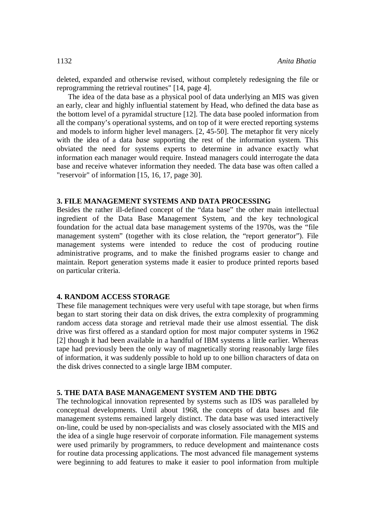deleted, expanded and otherwise revised, without completely redesigning the file or reprogramming the retrieval routines" [14, page 4].

The idea of the data base as a physical pool of data underlying an MIS was given an early, clear and highly influential statement by Head, who defined the data base as the bottom level of a pyramidal structure [12]. The data base pooled information from all the company's operational systems, and on top of it were erected reporting systems and models to inform higher level managers. [2, 45-50]. The metaphor fit very nicely with the idea of a data *base* supporting the rest of the information system. This obviated the need for systems experts to determine in advance exactly what information each manager would require. Instead managers could interrogate the data base and receive whatever information they needed. The data base was often called a "reservoir" of information [15, 16, 17, page 30].

## **3. FILE MANAGEMENT SYSTEMS AND DATA PROCESSING**

Besides the rather ill-defined concept of the "data base" the other main intellectual ingredient of the Data Base Management System, and the key technological foundation for the actual data base management systems of the 1970s, was the "file management system" (together with its close relation, the "report generator"). File management systems were intended to reduce the cost of producing routine administrative programs, and to make the finished programs easier to change and maintain. Report generation systems made it easier to produce printed reports based on particular criteria.

## **4. RANDOM ACCESS STORAGE**

These file management techniques were very useful with tape storage, but when firms began to start storing their data on disk drives, the extra complexity of programming random access data storage and retrieval made their use almost essential. The disk drive was first offered as a standard option for most major computer systems in 1962 [2] though it had been available in a handful of IBM systems a little earlier. Whereas tape had previously been the only way of magnetically storing reasonably large files of information, it was suddenly possible to hold up to one billion characters of data on the disk drives connected to a single large IBM computer.

## **5. THE DATA BASE MANAGEMENT SYSTEM AND THE DBTG**

The technological innovation represented by systems such as IDS was paralleled by conceptual developments. Until about 1968, the concepts of data bases and file management systems remained largely distinct. The data base was used interactively on-line, could be used by non-specialists and was closely associated with the MIS and the idea of a single huge reservoir of corporate information. File management systems were used primarily by programmers, to reduce development and maintenance costs for routine data processing applications. The most advanced file management systems were beginning to add features to make it easier to pool information from multiple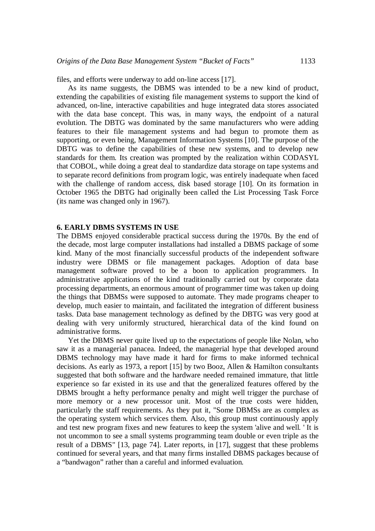files, and efforts were underway to add on-line access [17].

As its name suggests, the DBMS was intended to be a new kind of product, extending the capabilities of existing file management systems to support the kind of advanced, on-line, interactive capabilities and huge integrated data stores associated with the data base concept. This was, in many ways, the endpoint of a natural evolution. The DBTG was dominated by the same manufacturers who were adding features to their file management systems and had begun to promote them as supporting, or even being, Management Information Systems [10]. The purpose of the DBTG was to define the capabilities of these new systems, and to develop new standards for them. Its creation was prompted by the realization within CODASYL that COBOL, while doing a great deal to standardize data storage on tape systems and to separate record definitions from program logic, was entirely inadequate when faced with the challenge of random access, disk based storage [10]. On its formation in October 1965 the DBTG had originally been called the List Processing Task Force (its name was changed only in 1967).

## **6. EARLY DBMS SYSTEMS IN USE**

The DBMS enjoyed considerable practical success during the 1970s. By the end of the decade, most large computer installations had installed a DBMS package of some kind. Many of the most financially successful products of the independent software industry were DBMS or file management packages. Adoption of data base management software proved to be a boon to application programmers. In administrative applications of the kind traditionally carried out by corporate data processing departments, an enormous amount of programmer time was taken up doing the things that DBMSs were supposed to automate. They made programs cheaper to develop, much easier to maintain, and facilitated the integration of different business tasks. Data base management technology as defined by the DBTG was very good at dealing with very uniformly structured, hierarchical data of the kind found on administrative forms.

Yet the DBMS never quite lived up to the expectations of people like Nolan, who saw it as a managerial panacea. Indeed, the managerial hype that developed around DBMS technology may have made it hard for firms to make informed technical decisions. As early as 1973, a report [15] by two Booz, Allen & Hamilton consultants suggested that both software and the hardware needed remained immature, that little experience so far existed in its use and that the generalized features offered by the DBMS brought a hefty performance penalty and might well trigger the purchase of more memory or a new processor unit. Most of the true costs were hidden, particularly the staff requirements. As they put it, "Some DBMSs are as complex as the operating system which services them. Also, this group must continuously apply and test new program fixes and new features to keep the system 'alive and well. ' It is not uncommon to see a small systems programming team double or even triple as the result of a DBMS" [13, page 74]. Later reports, in [17], suggest that these problems continued for several years, and that many firms installed DBMS packages because of a "bandwagon" rather than a careful and informed evaluation.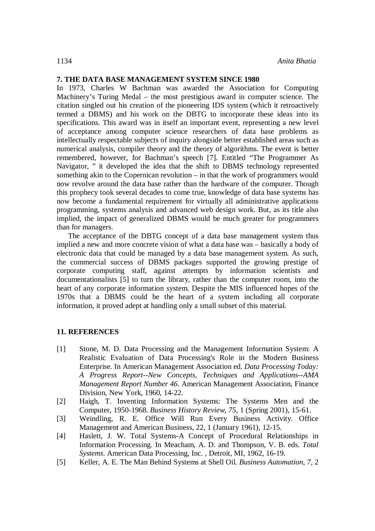#### **7. THE DATA BASE MANAGEMENT SYSTEM SINCE 1980**

In 1973, Charles W Bachman was awarded the Association for Computing Machinery's Turing Medal – the most prestigious award in computer science. The citation singled out his creation of the pioneering IDS system (which it retroactively termed a DBMS) and his work on the DBTG to incorporate these ideas into its specifications. This award was in itself an important event, representing a new level of acceptance among computer science researchers of data base problems as intellectually respectable subjects of inquiry alongside better established areas such as numerical analysis, compiler theory and the theory of algorithms. The event is better remembered, however, for Bachman's speech [7]. Entitled "The Programmer As Navigator, " it developed the idea that the shift to DBMS technology represented something akin to the Copernican revolution – in that the work of programmers would now revolve around the data base rather than the hardware of the computer. Though this prophecy took several decades to come true, knowledge of data base systems has now become a fundamental requirement for virtually all administrative applications programming, systems analysis and advanced web design work. But, as its title also implied, the impact of generalized DBMS would be much greater for programmers than for managers.

The acceptance of the DBTG concept of a data base management system thus implied a new and more concrete vision of what a data base was – basically a body of electronic data that could be managed by a data base management system. As such, the commercial success of DBMS packages supported the growing prestige of corporate computing staff, against attempts by information scientists and documentationalists [5] to turn the library, rather than the computer room, into the heart of any corporate information system. Despite the MIS influenced hopes of the 1970s that a DBMS could be the heart of a system including all corporate information, it proved adept at handling only a small subset of this material.

## **11. REFERENCES**

- [1] Stone, M. D. Data Processing and the Management Information System: A Realistic Evaluation of Data Processing's Role in the Modern Business Enterprise. In American Management Association ed. *Data Processing Today: A Progress Report--New Concepts, Techniques and Applications--AMA Management Report Number 46*. American Management Association, Finance Division, New York, 1960, 14-22.
- [2] Haigh, T. Inventing Information Systems: The Systems Men and the Computer, 1950-1968. *Business History Review*, *75*, 1 (Spring 2001), 15-61.
- [3] Weindling, R. E. Office Will Run Every Business Activity. Office Management and American Business, 22, 1 (January 1961), 12-15.
- [4] Haslett, J. W. Total Systems-A Concept of Procedural Relationships in Information Processing. In Meacham, A. D. and Thompson, V. B. eds. *Total Systems*. American Data Processing, Inc. , Detroit, MI, 1962, 16-19.
- [5] Keller, A. E. The Man Behind Systems at Shell Oil. *Business Automation*, *7*, 2